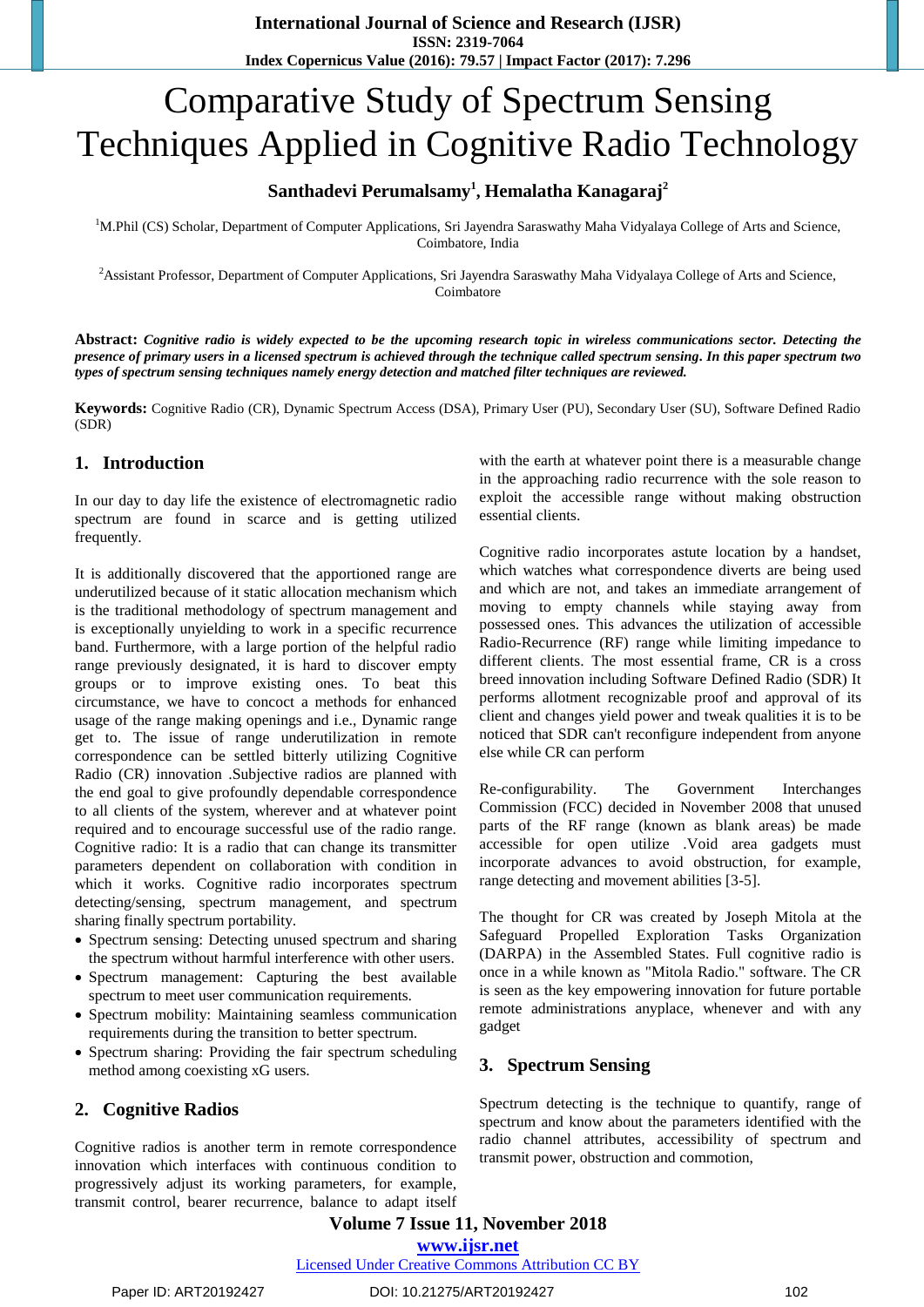# Comparative Study of Spectrum Sensing Techniques Applied in Cognitive Radio Technology

# **Santhadevi Perumalsamy<sup>1</sup> , Hemalatha Kanagaraj<sup>2</sup>**

<sup>1</sup>M.Phil (CS) Scholar, Department of Computer Applications, Sri Jayendra Saraswathy Maha Vidyalaya College of Arts and Science, Coimbatore, India

<sup>2</sup>Assistant Professor, Department of Computer Applications, Sri Jayendra Saraswathy Maha Vidyalaya College of Arts and Science, Coimbatore

**Abstract:** *Cognitive radio is widely expected to be the upcoming research topic in wireless communications sector. Detecting the presence of primary users in a licensed spectrum is achieved through the technique called spectrum sensing. In this paper spectrum two types of spectrum sensing techniques namely energy detection and matched filter techniques are reviewed.*

**Keywords:** Cognitive Radio (CR), Dynamic Spectrum Access (DSA), Primary User (PU), Secondary User (SU), Software Defined Radio (SDR)

## **1. Introduction**

In our day to day life the existence of electromagnetic radio spectrum are found in scarce and is getting utilized frequently.

It is additionally discovered that the apportioned range are underutilized because of it static allocation mechanism which is the traditional methodology of spectrum management and is exceptionally unyielding to work in a specific recurrence band. Furthermore, with a large portion of the helpful radio range previously designated, it is hard to discover empty groups or to improve existing ones. To beat this circumstance, we have to concoct a methods for enhanced usage of the range making openings and i.e., Dynamic range get to. The issue of range underutilization in remote correspondence can be settled bitterly utilizing Cognitive Radio (CR) innovation .Subjective radios are planned with the end goal to give profoundly dependable correspondence to all clients of the system, wherever and at whatever point required and to encourage successful use of the radio range. Cognitive radio: It is a radio that can change its transmitter parameters dependent on collaboration with condition in which it works. Cognitive radio incorporates spectrum detecting/sensing, spectrum management, and spectrum sharing finally spectrum portability.

- Spectrum sensing: Detecting unused spectrum and sharing the spectrum without harmful interference with other users.
- Spectrum management: Capturing the best available spectrum to meet user communication requirements.
- Spectrum mobility: Maintaining seamless communication requirements during the transition to better spectrum.
- Spectrum sharing: Providing the fair spectrum scheduling method among coexisting xG users.

## **2. Cognitive Radios**

Cognitive radios is another term in remote correspondence innovation which interfaces with continuous condition to progressively adjust its working parameters, for example, transmit control, bearer recurrence, balance to adapt itself

with the earth at whatever point there is a measurable change in the approaching radio recurrence with the sole reason to exploit the accessible range without making obstruction essential clients.

Cognitive radio incorporates astute location by a handset, which watches what correspondence diverts are being used and which are not, and takes an immediate arrangement of moving to empty channels while staying away from possessed ones. This advances the utilization of accessible Radio-Recurrence (RF) range while limiting impedance to different clients. The most essential frame, CR is a cross breed innovation including Software Defined Radio (SDR) It performs allotment recognizable proof and approval of its client and changes yield power and tweak qualities it is to be noticed that SDR can't reconfigure independent from anyone else while CR can perform

Re-configurability. The Government Interchanges Commission (FCC) decided in November 2008 that unused parts of the RF range (known as blank areas) be made accessible for open utilize .Void area gadgets must incorporate advances to avoid obstruction, for example, range detecting and movement abilities [3-5].

The thought for CR was created by Joseph Mitola at the Safeguard Propelled Exploration Tasks Organization (DARPA) in the Assembled States. Full cognitive radio is once in a while known as "Mitola Radio." software. The CR is seen as the key empowering innovation for future portable remote administrations anyplace, whenever and with any gadget

## **3. Spectrum Sensing**

Spectrum detecting is the technique to quantify, range of spectrum and know about the parameters identified with the radio channel attributes, accessibility of spectrum and transmit power, obstruction and commotion,

**Volume 7 Issue 11, November 2018 [www.ijsr.net](../../../IJSR%20Website/www.ijsr.net)**

[Licensed Under Creative Commons Attribution CC BY](http://creativecommons.org/licenses/by/4.0/)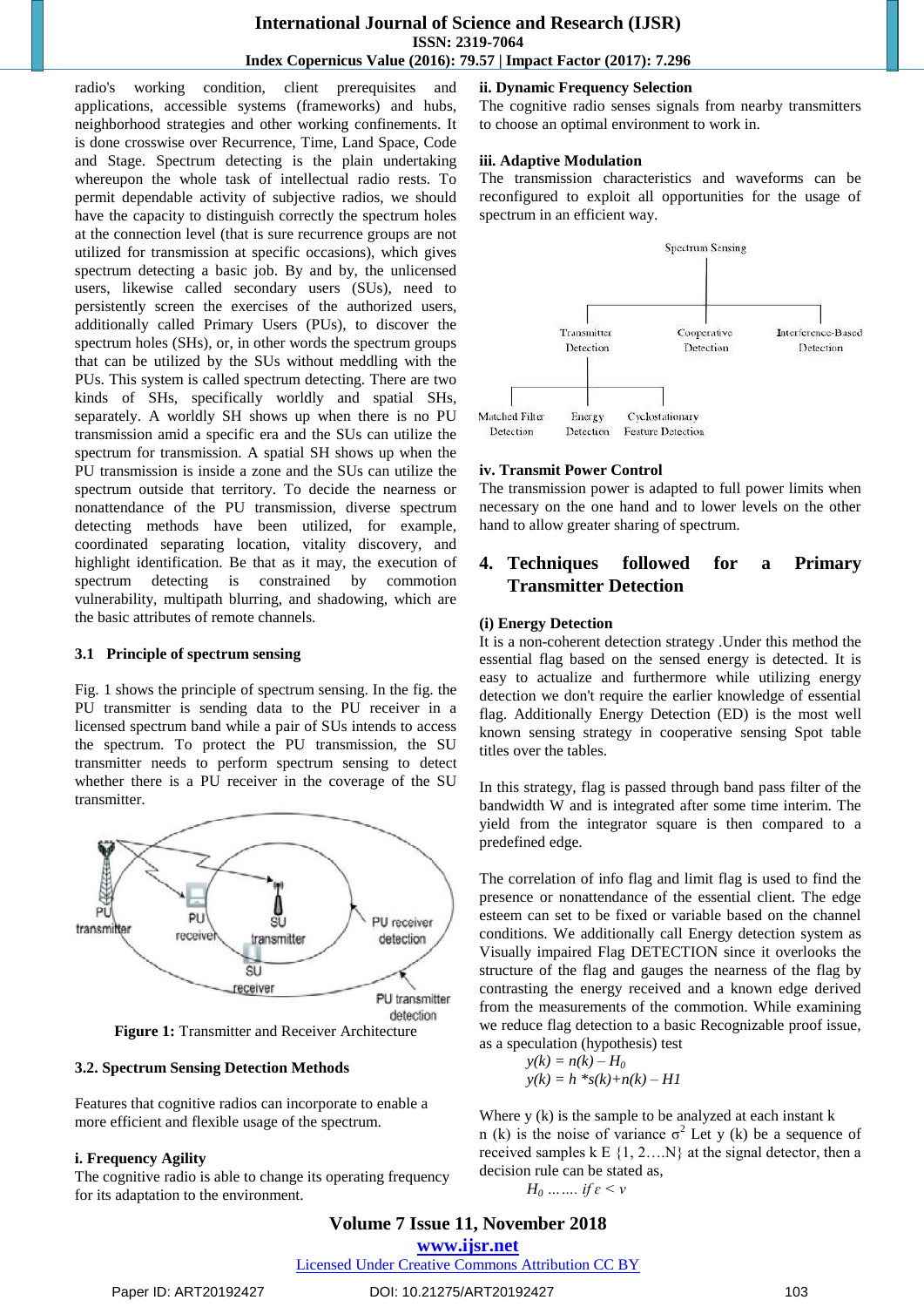## **International Journal of Science and Research (IJSR) ISSN: 2319-7064 Index Copernicus Value (2016): 79.57 | Impact Factor (2017): 7.296**

radio's working condition, client prerequisites and applications, accessible systems (frameworks) and hubs, neighborhood strategies and other working confinements. It is done crosswise over Recurrence, Time, Land Space, Code and Stage. Spectrum detecting is the plain undertaking whereupon the whole task of intellectual radio rests. To permit dependable activity of subjective radios, we should have the capacity to distinguish correctly the spectrum holes at the connection level (that is sure recurrence groups are not utilized for transmission at specific occasions), which gives spectrum detecting a basic job. By and by, the unlicensed users, likewise called secondary users (SUs), need to persistently screen the exercises of the authorized users, additionally called Primary Users (PUs), to discover the spectrum holes (SHs), or, in other words the spectrum groups that can be utilized by the SUs without meddling with the PUs. This system is called spectrum detecting. There are two kinds of SHs, specifically worldly and spatial SHs, separately. A worldly SH shows up when there is no PU transmission amid a specific era and the SUs can utilize the spectrum for transmission. A spatial SH shows up when the PU transmission is inside a zone and the SUs can utilize the spectrum outside that territory. To decide the nearness or nonattendance of the PU transmission, diverse spectrum detecting methods have been utilized, for example, coordinated separating location, vitality discovery, and highlight identification. Be that as it may, the execution of spectrum detecting is constrained by commotion vulnerability, multipath blurring, and shadowing, which are the basic attributes of remote channels.

#### **3.1 Principle of spectrum sensing**

Fig. 1 shows the principle of spectrum sensing. In the fig. the PU transmitter is sending data to the PU receiver in a licensed spectrum band while a pair of SUs intends to access the spectrum. To protect the PU transmission, the SU transmitter needs to perform spectrum sensing to detect whether there is a PU receiver in the coverage of the SU transmitter.



**Figure 1:** Transmitter and Receiver Architecture

#### **3.2. Spectrum Sensing Detection Methods**

Features that cognitive radios can incorporate to enable a more efficient and flexible usage of the spectrum.

#### **i. Frequency Agility**

The cognitive radio is able to change its operating frequency for its adaptation to the environment.

### **ii. Dynamic Frequency Selection**

The cognitive radio senses signals from nearby transmitters to choose an optimal environment to work in.

#### **iii. Adaptive Modulation**

The transmission characteristics and waveforms can be reconfigured to exploit all opportunities for the usage of spectrum in an efficient way.



#### **iv. Transmit Power Control**

The transmission power is adapted to full power limits when necessary on the one hand and to lower levels on the other hand to allow greater sharing of spectrum.

## **4. Techniques followed for a Primary Transmitter Detection**

#### **(i) Energy Detection**

It is a non-coherent detection strategy .Under this method the essential flag based on the sensed energy is detected. It is easy to actualize and furthermore while utilizing energy detection we don't require the earlier knowledge of essential flag. Additionally Energy Detection (ED) is the most well known sensing strategy in cooperative sensing Spot table titles over the tables.

In this strategy, flag is passed through band pass filter of the bandwidth W and is integrated after some time interim. The yield from the integrator square is then compared to a predefined edge.

The correlation of info flag and limit flag is used to find the presence or nonattendance of the essential client. The edge esteem can set to be fixed or variable based on the channel conditions. We additionally call Energy detection system as Visually impaired Flag DETECTION since it overlooks the structure of the flag and gauges the nearness of the flag by contrasting the energy received and a known edge derived from the measurements of the commotion. While examining we reduce flag detection to a basic Recognizable proof issue, as a speculation (hypothesis) test

$$
y(k) = n(k) - H_0
$$
  

$$
y(k) = h * s(k) + n(k) - H1
$$

Where  $y(k)$  is the sample to be analyzed at each instant k n (k) is the noise of variance  $\sigma^2$  Let y (k) be a sequence of received samples  $k \in \{1, 2, \ldots N\}$  at the signal detector, then a decision rule can be stated as,

*H*<sup>0</sup> *…….. if*  $\varepsilon$  < *v* 

## **Volume 7 Issue 11, November 2018**

**[www.ijsr.net](../../../IJSR%20Website/www.ijsr.net)**

[Licensed Under Creative Commons Attribution CC BY](http://creativecommons.org/licenses/by/4.0/)